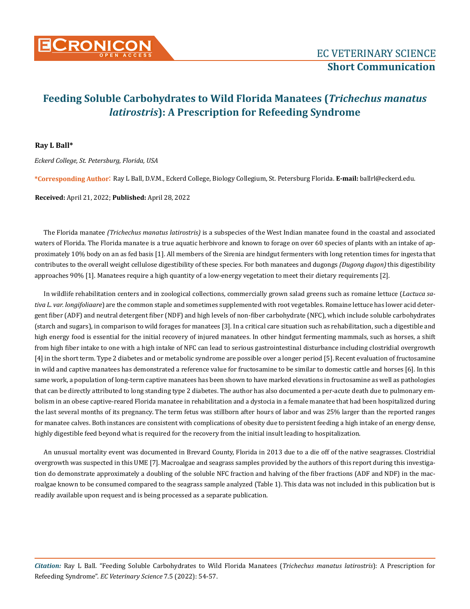

#### **Ray L Ball\***

*Eckerd College, St. Petersburg, Florida, USA*

**\*Corresponding Author**: Ray L Ball, D.V.M., Eckerd College, Biology Collegium, St. Petersburg Florida. **E-mail:** ballrl@eckerd.edu.

**Received:** April 21, 2022; **Published:** April 28, 2022

The Florida manatee *(Trichechus manatus latirostris)* is a subspecies of the West Indian manatee found in the coastal and associated waters of Florida. The Florida manatee is a true aquatic herbivore and known to forage on over 60 species of plants with an intake of approximately 10% body on an as fed basis [1]. All members of the Sirenia are hindgut fermenters with long retention times for ingesta that contributes to the overall weight cellulose digestibility of these species. For both manatees and dugongs *(Dugong dugon)* this digestibility approaches 90% [1]. Manatees require a high quantity of a low-energy vegetation to meet their dietary requirements [2].

In wildlife rehabilitation centers and in zoological collections, commercially grown salad greens such as romaine lettuce (*Lactuca sativa L. var. longifoliaare*) are the common staple and sometimes supplemented with root vegetables. Romaine lettuce has lower acid detergent fiber (ADF) and neutral detergent fiber (NDF) and high levels of non-fiber carbohydrate (NFC), which include soluble carbohydrates (starch and sugars), in comparison to wild forages for manatees [3]. In a critical care situation such as rehabilitation, such a digestible and high energy food is essential for the initial recovery of injured manatees. In other hindgut fermenting mammals, such as horses, a shift from high fiber intake to one with a high intake of NFC can lead to serious gastrointestinal disturbance including clostridial overgrowth [4] in the short term. Type 2 diabetes and or metabolic syndrome are possible over a longer period [5]. Recent evaluation of fructosamine in wild and captive manatees has demonstrated a reference value for fructosamine to be similar to domestic cattle and horses [6]. In this same work, a population of long-term captive manatees has been shown to have marked elevations in fructosamine as well as pathologies that can be directly attributed to long standing type 2 diabetes. The author has also documented a per-acute death due to pulmonary embolism in an obese captive-reared Florida manatee in rehabilitation and a dystocia in a female manatee that had been hospitalized during the last several months of its pregnancy. The term fetus was stillborn after hours of labor and was 25% larger than the reported ranges for manatee calves. Both instances are consistent with complications of obesity due to persistent feeding a high intake of an energy dense, highly digestible feed beyond what is required for the recovery from the initial insult leading to hospitalization.

An unusual mortality event was documented in Brevard County, Florida in 2013 due to a die off of the native seagrasses. Clostridial overgrowth was suspected in this UME [7]. Macroalgae and seagrass samples provided by the authors of this report during this investigation do demonstrate approximately a doubling of the soluble NFC fraction and halving of the fiber fractions (ADF and NDF) in the macroalgae known to be consumed compared to the seagrass sample analyzed (Table 1). This data was not included in this publication but is readily available upon request and is being processed as a separate publication.

*Citation:* Ray L Ball*.* "Feeding Soluble Carbohydrates to Wild Florida Manatees (*Trichechus manatus latirostris*): A Prescription for Refeeding Syndrome". *EC Veterinary Science* 7.5 (2022): 54-57.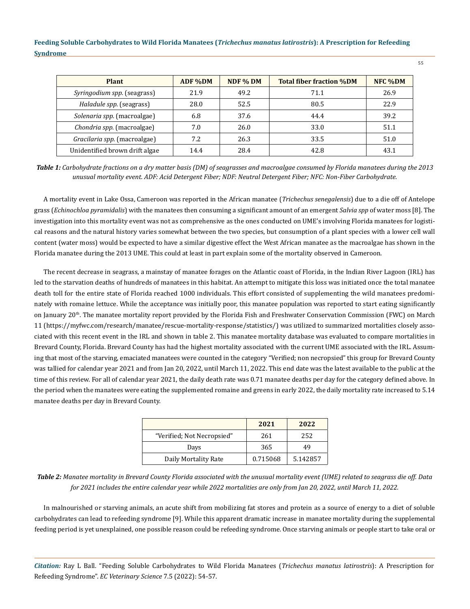| Plant                          | ADF %DM | NDF % DM | <b>Total fiber fraction %DM</b> | NFC %DM |
|--------------------------------|---------|----------|---------------------------------|---------|
| Syringodium spp. (seagrass)    | 21.9    | 49.2     | 71.1                            | 26.9    |
| Haladule spp. (seagrass)       | 28.0    | 52.5     | 80.5                            | 22.9    |
| Solenaria spp. (macroalgae)    | 6.8     | 37.6     | 44.4                            | 39.2    |
| Chondria spp. (macroalgae)     | 7.0     | 26.0     | 33.0                            | 51.1    |
| Gracilaria spp. (macroalgae)   | 7.2     | 26.3     | 33.5                            | 51.0    |
| Unidentified brown drift algae | 14.4    | 28.4     | 42.8                            | 43.1    |

*Table 1: Carbohydrate fractions on a dry matter basis (DM) of seagrasses and macroalgae consumed by Florida manatees during the 2013 unusual mortality event. ADF: Acid Detergent Fiber; NDF: Neutral Detergent Fiber; NFC: Non-Fiber Carbohydrate.*

A mortality event in Lake Ossa, Cameroon was reported in the African manatee (*Trichechus senegalensis*) due to a die off of Antelope grass (*Echinochloa pyramidalis*) with the manatees then consuming a significant amount of an emergent *Salvia spp* of water moss [8]. The investigation into this mortality event was not as comprehensive as the ones conducted on UME's involving Florida manatees for logistical reasons and the natural history varies somewhat between the two species, but consumption of a plant species with a lower cell wall content (water moss) would be expected to have a similar digestive effect the West African manatee as the macroalgae has shown in the Florida manatee during the 2013 UME. This could at least in part explain some of the mortality observed in Cameroon.

The recent decrease in seagrass, a mainstay of manatee forages on the Atlantic coast of Florida, in the Indian River Lagoon (IRL) has led to the starvation deaths of hundreds of manatees in this habitat. An attempt to mitigate this loss was initiated once the total manatee death toll for the entire state of Florida reached 1000 individuals. This effort consisted of supplementing the wild manatees predominately with romaine lettuce. While the acceptance was initially poor, this manatee population was reported to start eating significantly on January 20th. The manatee mortality report provided by the Florida Fish and Freshwater Conservation Commission (FWC) on March 11 (https://myfwc.com/research/manatee/rescue-mortality-response/statistics/) was utilized to summarized mortalities closely associated with this recent event in the IRL and shown in table 2. This manatee mortality database was evaluated to compare mortalities in Brevard County, Florida. Brevard County has had the highest mortality associated with the current UME associated with the IRL. Assuming that most of the starving, emaciated manatees were counted in the category "Verified; non necropsied" this group for Brevard County was tallied for calendar year 2021 and from Jan 20, 2022, until March 11, 2022. This end date was the latest available to the public at the time of this review. For all of calendar year 2021, the daily death rate was 0.71 manatee deaths per day for the category defined above. In the period when the manatees were eating the supplemented romaine and greens in early 2022, the daily mortality rate increased to 5.14 manatee deaths per day in Brevard County.

|                            | 2021     | 2022     |
|----------------------------|----------|----------|
| "Verified; Not Necropsied" | 261      | 252      |
| Days                       | 365      | 49       |
| Daily Mortality Rate       | 0.715068 | 5.142857 |

*Table 2: Manatee mortality in Brevard County Florida associated with the unusual mortality event (UME) related to seagrass die off. Data for 2021 includes the entire calendar year while 2022 mortalities are only from Jan 20, 2022, until March 11, 2022.*

In malnourished or starving animals, an acute shift from mobilizing fat stores and protein as a source of energy to a diet of soluble carbohydrates can lead to refeeding syndrome [9]. While this apparent dramatic increase in manatee mortality during the supplemental feeding period is yet unexplained, one possible reason could be refeeding syndrome. Once starving animals or people start to take oral or

*Citation:* Ray L Ball*.* "Feeding Soluble Carbohydrates to Wild Florida Manatees (*Trichechus manatus latirostris*): A Prescription for Refeeding Syndrome". *EC Veterinary Science* 7.5 (2022): 54-57.

55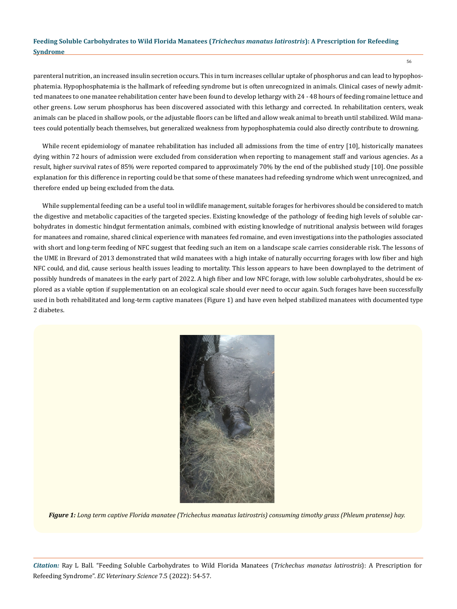parenteral nutrition, an increased insulin secretion occurs. This in turn increases cellular uptake of phosphorus and can lead to hypophosphatemia. Hypophosphatemia is the hallmark of refeeding syndrome but is often unrecognized in animals. Clinical cases of newly admitted manatees to one manatee rehabilitation center have been found to develop lethargy with 24 - 48 hours of feeding romaine lettuce and other greens. Low serum phosphorus has been discovered associated with this lethargy and corrected. In rehabilitation centers, weak animals can be placed in shallow pools, or the adjustable floors can be lifted and allow weak animal to breath until stabilized. Wild manatees could potentially beach themselves, but generalized weakness from hypophosphatemia could also directly contribute to drowning.

While recent epidemiology of manatee rehabilitation has included all admissions from the time of entry [10], historically manatees dying within 72 hours of admission were excluded from consideration when reporting to management staff and various agencies. As a result, higher survival rates of 85% were reported compared to approximately 70% by the end of the published study [10]. One possible explanation for this difference in reporting could be that some of these manatees had refeeding syndrome which went unrecognized, and therefore ended up being excluded from the data.

While supplemental feeding can be a useful tool in wildlife management, suitable forages for herbivores should be considered to match the digestive and metabolic capacities of the targeted species. Existing knowledge of the pathology of feeding high levels of soluble carbohydrates in domestic hindgut fermentation animals, combined with existing knowledge of nutritional analysis between wild forages for manatees and romaine, shared clinical experience with manatees fed romaine, and even investigations into the pathologies associated with short and long-term feeding of NFC suggest that feeding such an item on a landscape scale carries considerable risk. The lessons of the UME in Brevard of 2013 demonstrated that wild manatees with a high intake of naturally occurring forages with low fiber and high NFC could, and did, cause serious health issues leading to mortality. This lesson appears to have been downplayed to the detriment of possibly hundreds of manatees in the early part of 2022. A high fiber and low NFC forage, with low soluble carbohydrates, should be explored as a viable option if supplementation on an ecological scale should ever need to occur again. Such forages have been successfully used in both rehabilitated and long-term captive manatees (Figure 1) and have even helped stabilized manatees with documented type 2 diabetes.



*Figure 1: Long term captive Florida manatee (Trichechus manatus latirostris) consuming timothy grass (Phleum pratense) hay.*

*Citation:* Ray L Ball*.* "Feeding Soluble Carbohydrates to Wild Florida Manatees (*Trichechus manatus latirostris*): A Prescription for Refeeding Syndrome". *EC Veterinary Science* 7.5 (2022): 54-57.

56